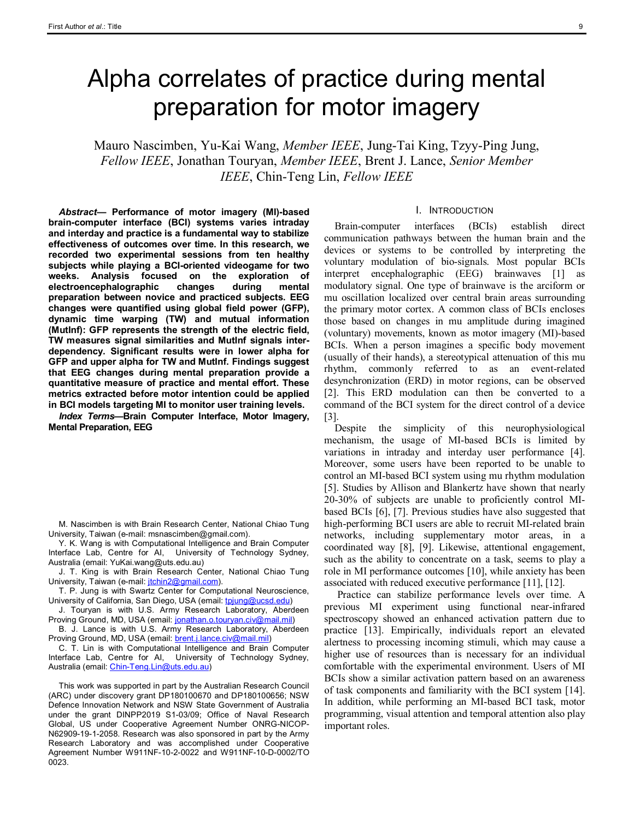# Alpha correlates of practice during mental preparation for motor imagery

Mauro Nascimben, Yu-Kai Wang, *Member IEEE*, Jung-Tai King, Tzyy-Ping Jung, *Fellow IEEE*, Jonathan Touryan, *Member IEEE*, Brent J. Lance, *Senior Member IEEE*, Chin-Teng Lin, *Fellow IEEE*

*Abstract***— Performance of motor imagery (MI)-based brain-computer interface (BCI) systems varies intraday and interday and practice is a fundamental way to stabilize effectiveness of outcomes over time. In this research, we recorded two experimental sessions from ten healthy subjects while playing a BCI-oriented videogame for two weeks. Analysis focused on the exploration of electroencephalographic changes during mental preparation between novice and practiced subjects. EEG changes were quantified using global field power (GFP), dynamic time warping (TW) and mutual information (MutInf): GFP represents the strength of the electric field, TW measures signal similarities and MutInf signals interdependency. Significant results were in lower alpha for GFP and upper alpha for TW and MutInf. Findings suggest that EEG changes during mental preparation provide a quantitative measure of practice and mental effort. These metrics extracted before motor intention could be applied in BCI models targeting MI to monitor user training levels.** 

*Index Terms***—Brain Computer Interface, Motor Imagery, Mental Preparation, EEG**

M. Nascimben is with Brain Research Center, National Chiao Tung University, Taiwan (e-mail: msnascimben@gmail.com).

Y. K. Wang is with Computational Intelligence and Brain Computer Interface Lab, Centre for AI, University of Technology Sydney, Australia (email: YuKai.wang@uts.edu.au)

J. T. King is with Brain Research Center, National Chiao Tung University, Taiwan (e-mail: *jtchin2@gmail.com*).

T. P. Jung is with Swartz Center for Computational Neuroscience, University of California, San Diego, USA (email: [tpjung@ucsd.edu\)](mailto:tpjung@ucsd.edu)

J. Touryan is with U.S. Army Research Laboratory, Aberdeen Proving Ground, MD, USA (email: [jonathan.o.touryan.civ@mail.mil\)](mailto:jonathan.o.touryan.civ@mail.mil)

B. J. Lance is with U.S. Army Research Laboratory, Aberdeen Proving Ground, MD, USA (email: [brent.j.lance.civ@mail.mil\)](mailto:brent.j.lance.civ@mail.mil)

C. T. Lin is with Computational Intelligence and Brain Computer Interface Lab, Centre for AI, University of Technology Sydney, Australia (email: [Chin-Teng.Lin@uts.edu.au\)](mailto:Chin-Teng.Lin@uts.edu.au)

This work was supported in part by the Australian Research Council (ARC) under discovery grant DP180100670 and DP180100656; NSW Defence Innovation Network and NSW State Government of Australia under the grant DINPP2019 S1-03/09; Office of Naval Research Global, US under Cooperative Agreement Number ONRG-NICOP-N62909-19-1-2058. Research was also sponsored in part by the Army Research Laboratory and was accomplished under Cooperative Agreement Number W911NF-10-2-0022 and W911NF-10-D-0002/TO 0023.

#### I. INTRODUCTION

Brain-computer interfaces (BCIs) establish direct communication pathways between the human brain and the devices or systems to be controlled by interpreting the voluntary modulation of bio-signals. Most popular BCIs interpret encephalographic (EEG) brainwaves [1] as modulatory signal. One type of brainwave is the arciform or mu oscillation localized over central brain areas surrounding the primary motor cortex. A common class of BCIs encloses those based on changes in mu amplitude during imagined (voluntary) movements, known as motor imagery (MI)-based BCIs. When a person imagines a specific body movement (usually of their hands), a stereotypical attenuation of this mu rhythm, commonly referred to as an event-related desynchronization (ERD) in motor regions, can be observed [2]. This ERD modulation can then be converted to a command of the BCI system for the direct control of a device [3].

Despite the simplicity of this neurophysiological mechanism, the usage of MI-based BCIs is limited by variations in intraday and interday user performance [4]. Moreover, some users have been reported to be unable to control an MI-based BCI system using mu rhythm modulation [5]. Studies by Allison and Blankertz have shown that nearly 20-30% of subjects are unable to proficiently control MIbased BCIs [6], [7]. Previous studies have also suggested that high-performing BCI users are able to recruit MI-related brain networks, including supplementary motor areas, in a coordinated way [8], [9]. Likewise, attentional engagement, such as the ability to concentrate on a task, seems to play a role in MI performance outcomes [10], while anxiety has been associated with reduced executive performance [11], [12].

Practice can stabilize performance levels over time. A previous MI experiment using functional near-infrared spectroscopy showed an enhanced activation pattern due to practice [13]. Empirically, individuals report an elevated alertness to processing incoming stimuli, which may cause a higher use of resources than is necessary for an individual comfortable with the experimental environment. Users of MI BCIs show a similar activation pattern based on an awareness of task components and familiarity with the BCI system [14]. In addition, while performing an MI-based BCI task, motor programming, visual attention and temporal attention also play important roles.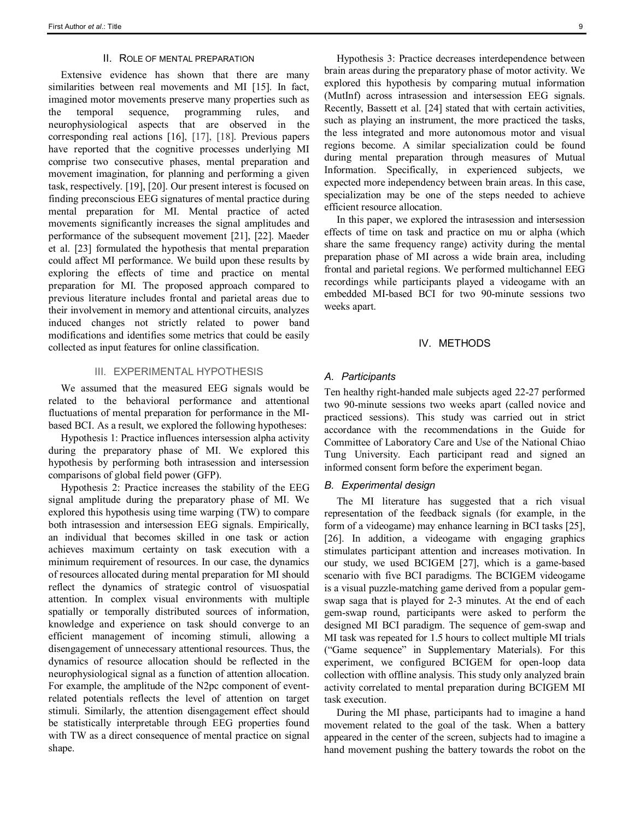#### II. ROLE OF MENTAL PREPARATION

Extensive evidence has shown that there are many similarities between real movements and MI [15]. In fact, imagined motor movements preserve many properties such as the temporal sequence, programming rules, and neurophysiological aspects that are observed in the corresponding real actions [16], [17], [18]. Previous papers have reported that the cognitive processes underlying MI comprise two consecutive phases, mental preparation and movement imagination, for planning and performing a given task, respectively. [19], [20]. Our present interest is focused on finding preconscious EEG signatures of mental practice during mental preparation for MI. Mental practice of acted movements significantly increases the signal amplitudes and performance of the subsequent movement [21], [22]. Maeder et al. [23] formulated the hypothesis that mental preparation could affect MI performance. We build upon these results by exploring the effects of time and practice on mental preparation for MI. The proposed approach compared to previous literature includes frontal and parietal areas due to their involvement in memory and attentional circuits, analyzes induced changes not strictly related to power band modifications and identifies some metrics that could be easily collected as input features for online classification.

# III. EXPERIMENTAL HYPOTHESIS

We assumed that the measured EEG signals would be related to the behavioral performance and attentional fluctuations of mental preparation for performance in the MIbased BCI. As a result, we explored the following hypotheses:

Hypothesis 1: Practice influences intersession alpha activity during the preparatory phase of MI. We explored this hypothesis by performing both intrasession and intersession comparisons of global field power (GFP).

Hypothesis 2: Practice increases the stability of the EEG signal amplitude during the preparatory phase of MI. We explored this hypothesis using time warping (TW) to compare both intrasession and intersession EEG signals. Empirically, an individual that becomes skilled in one task or action achieves maximum certainty on task execution with a minimum requirement of resources. In our case, the dynamics of resources allocated during mental preparation for MI should reflect the dynamics of strategic control of visuospatial attention. In complex visual environments with multiple spatially or temporally distributed sources of information, knowledge and experience on task should converge to an efficient management of incoming stimuli, allowing a disengagement of unnecessary attentional resources. Thus, the dynamics of resource allocation should be reflected in the neurophysiological signal as a function of attention allocation. For example, the amplitude of the N2pc component of eventrelated potentials reflects the level of attention on target stimuli. Similarly, the attention disengagement effect should be statistically interpretable through EEG properties found with TW as a direct consequence of mental practice on signal shape.

Hypothesis 3: Practice decreases interdependence between brain areas during the preparatory phase of motor activity. We explored this hypothesis by comparing mutual information (MutInf) across intrasession and intersession EEG signals. Recently, Bassett et al. [24] stated that with certain activities, such as playing an instrument, the more practiced the tasks, the less integrated and more autonomous motor and visual regions become. A similar specialization could be found during mental preparation through measures of Mutual Information. Specifically, in experienced subjects, we expected more independency between brain areas. In this case, specialization may be one of the steps needed to achieve efficient resource allocation.

In this paper, we explored the intrasession and intersession effects of time on task and practice on mu or alpha (which share the same frequency range) activity during the mental preparation phase of MI across a wide brain area, including frontal and parietal regions. We performed multichannel EEG recordings while participants played a videogame with an embedded MI-based BCI for two 90-minute sessions two weeks apart.

### IV. METHODS

#### *A. Participants*

Ten healthy right-handed male subjects aged 22-27 performed two 90-minute sessions two weeks apart (called novice and practiced sessions). This study was carried out in strict accordance with the recommendations in the Guide for Committee of Laboratory Care and Use of the National Chiao Tung University. Each participant read and signed an informed consent form before the experiment began.

# *B. Experimental design*

The MI literature has suggested that a rich visual representation of the feedback signals (for example, in the form of a videogame) may enhance learning in BCI tasks [25], [26]. In addition, a videogame with engaging graphics stimulates participant attention and increases motivation. In our study, we used BCIGEM [27], which is a game-based scenario with five BCI paradigms. The BCIGEM videogame is a visual puzzle-matching game derived from a popular gemswap saga that is played for 2-3 minutes. At the end of each gem-swap round, participants were asked to perform the designed MI BCI paradigm. The sequence of gem-swap and MI task was repeated for 1.5 hours to collect multiple MI trials ("Game sequence" in Supplementary Materials). For this experiment, we configured BCIGEM for open-loop data collection with offline analysis. This study only analyzed brain activity correlated to mental preparation during BCIGEM MI task execution.

During the MI phase, participants had to imagine a hand movement related to the goal of the task. When a battery appeared in the center of the screen, subjects had to imagine a hand movement pushing the battery towards the robot on the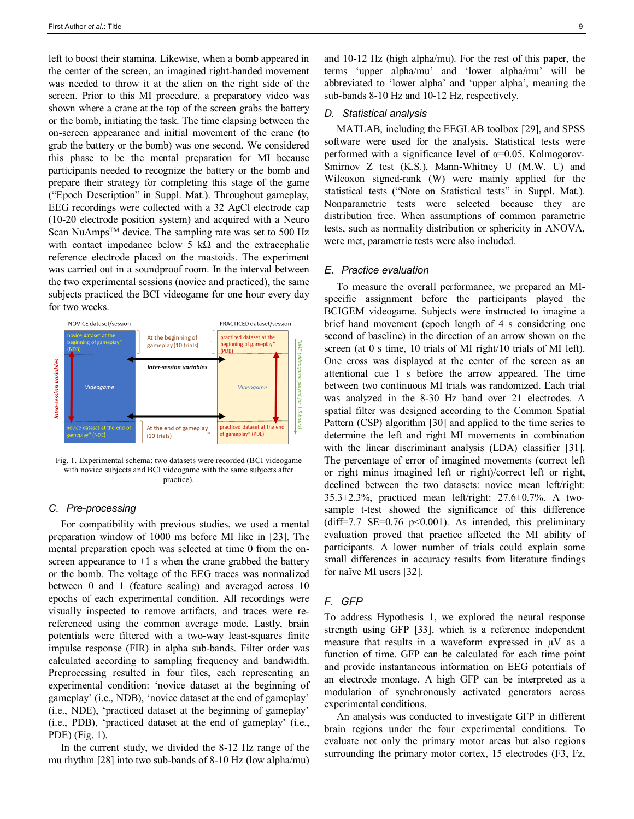left to boost their stamina. Likewise, when a bomb appeared in the center of the screen, an imagined right-handed movement was needed to throw it at the alien on the right side of the screen. Prior to this MI procedure, a preparatory video was shown where a crane at the top of the screen grabs the battery or the bomb, initiating the task. The time elapsing between the on-screen appearance and initial movement of the crane (to grab the battery or the bomb) was one second. We considered this phase to be the mental preparation for MI because participants needed to recognize the battery or the bomb and prepare their strategy for completing this stage of the game ("Epoch Description" in Suppl. Mat.). Throughout gameplay, EEG recordings were collected with a 32 AgCl electrode cap (10-20 electrode position system) and acquired with a Neuro Scan NuAmps<sup>TM</sup> device. The sampling rate was set to 500 Hz with contact impedance below 5 k $\Omega$  and the extracephalic reference electrode placed on the mastoids. The experiment was carried out in a soundproof room. In the interval between the two experimental sessions (novice and practiced), the same subjects practiced the BCI videogame for one hour every day for two weeks.



Fig. 1. Experimental schema: two datasets were recorded (BCI videogame with novice subjects and BCI videogame with the same subjects after practice).

# *C. Pre-processing*

For compatibility with previous studies, we used a mental preparation window of 1000 ms before MI like in [23]. The mental preparation epoch was selected at time 0 from the onscreen appearance to  $+1$  s when the crane grabbed the battery or the bomb. The voltage of the EEG traces was normalized between 0 and 1 (feature scaling) and averaged across 10 epochs of each experimental condition. All recordings were visually inspected to remove artifacts, and traces were rereferenced using the common average mode. Lastly, brain potentials were filtered with a two-way least-squares finite impulse response (FIR) in alpha sub-bands. Filter order was calculated according to sampling frequency and bandwidth. Preprocessing resulted in four files, each representing an experimental condition: 'novice dataset at the beginning of gameplay' (i.e., NDB), 'novice dataset at the end of gameplay' (i.e., NDE), 'practiced dataset at the beginning of gameplay' (i.e., PDB), 'practiced dataset at the end of gameplay' (i.e., PDE) (Fig. 1).

In the current study, we divided the 8-12 Hz range of the mu rhythm [28] into two sub-bands of 8-10 Hz (low alpha/mu) and 10-12 Hz (high alpha/mu). For the rest of this paper, the terms 'upper alpha/mu' and 'lower alpha/mu' will be abbreviated to 'lower alpha' and 'upper alpha', meaning the sub-bands 8-10 Hz and 10-12 Hz, respectively.

#### *D. Statistical analysis*

MATLAB, including the EEGLAB toolbox [29], and SPSS software were used for the analysis. Statistical tests were performed with a significance level of  $\alpha$ =0.05. Kolmogorov-Smirnov Z test (K.S.), Mann-Whitney U (M.W. U) and Wilcoxon signed-rank (W) were mainly applied for the statistical tests ("Note on Statistical tests" in Suppl. Mat.). Nonparametric tests were selected because they are distribution free. When assumptions of common parametric tests, such as normality distribution or sphericity in ANOVA, were met, parametric tests were also included.

#### *E. Practice evaluation*

To measure the overall performance, we prepared an MIspecific assignment before the participants played the BCIGEM videogame. Subjects were instructed to imagine a brief hand movement (epoch length of 4 s considering one second of baseline) in the direction of an arrow shown on the screen (at 0 s time, 10 trials of MI right/10 trials of MI left). One cross was displayed at the center of the screen as an attentional cue 1 s before the arrow appeared. The time between two continuous MI trials was randomized. Each trial was analyzed in the 8-30 Hz band over 21 electrodes. A spatial filter was designed according to the Common Spatial Pattern (CSP) algorithm [30] and applied to the time series to determine the left and right MI movements in combination with the linear discriminant analysis (LDA) classifier [31]. The percentage of error of imagined movements (correct left or right minus imagined left or right)/correct left or right, declined between the two datasets: novice mean left/right: 35.3±2.3%, practiced mean left/right: 27.6±0.7%. A twosample t-test showed the significance of this difference (diff=7.7 SE= $0.76$  p< $0.001$ ). As intended, this preliminary evaluation proved that practice affected the MI ability of participants. A lower number of trials could explain some small differences in accuracy results from literature findings for naïve MI users [32].

# *F. GFP*

To address Hypothesis 1, we explored the neural response strength using GFP [33], which is a reference independent measure that results in a waveform expressed in µV as a function of time. GFP can be calculated for each time point and provide instantaneous information on EEG potentials of an electrode montage. A high GFP can be interpreted as a modulation of synchronously activated generators across experimental conditions.

An analysis was conducted to investigate GFP in different brain regions under the four experimental conditions. To evaluate not only the primary motor areas but also regions surrounding the primary motor cortex, 15 electrodes (F3, Fz,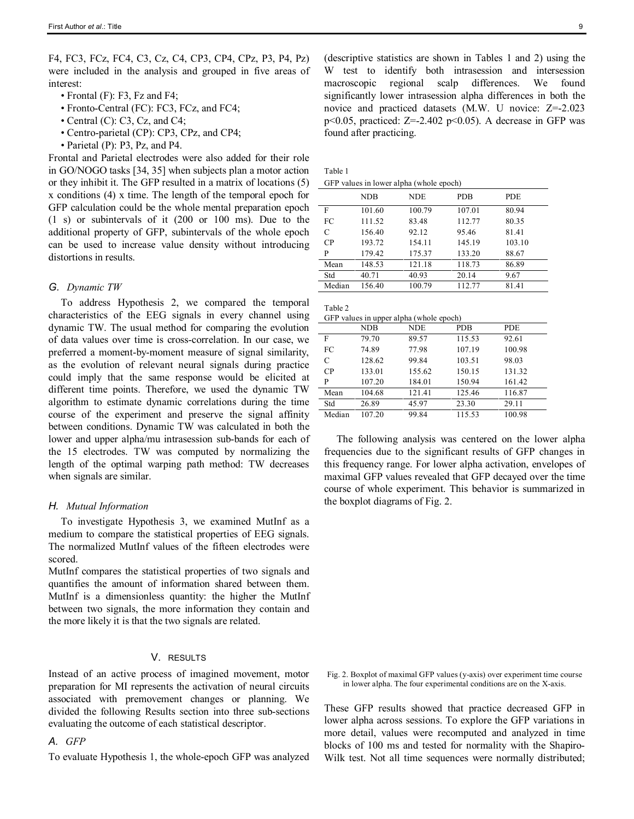F4, FC3, FCz, FC4, C3, Cz, C4, CP3, CP4, CPz, P3, P4, Pz) were included in the analysis and grouped in five areas of interest:

- Frontal (F): F3, Fz and F4;
- Fronto-Central (FC): FC3, FCz, and FC4;
- Central (C): C3, Cz, and C4;
- Centro-parietal (CP): CP3, CPz, and CP4;
- Parietal (P): P3, Pz, and P4.

Frontal and Parietal electrodes were also added for their role in GO/NOGO tasks [34, 35] when subjects plan a motor action or they inhibit it. The GFP resulted in a matrix of locations (5) x conditions (4) x time. The length of the temporal epoch for GFP calculation could be the whole mental preparation epoch (1 s) or subintervals of it (200 or 100 ms). Due to the additional property of GFP, subintervals of the whole epoch can be used to increase value density without introducing distortions in results.

#### *G. Dynamic TW*

To address Hypothesis 2, we compared the temporal characteristics of the EEG signals in every channel using dynamic TW. The usual method for comparing the evolution of data values over time is cross-correlation. In our case, we preferred a moment-by-moment measure of signal similarity, as the evolution of relevant neural signals during practice could imply that the same response would be elicited at different time points. Therefore, we used the dynamic TW algorithm to estimate dynamic correlations during the time course of the experiment and preserve the signal affinity between conditions. Dynamic TW was calculated in both the lower and upper alpha/mu intrasession sub-bands for each of the 15 electrodes. TW was computed by normalizing the length of the optimal warping path method: TW decreases when signals are similar.

#### *H. Mutual Information*

To investigate Hypothesis 3, we examined MutInf as a medium to compare the statistical properties of EEG signals. The normalized MutInf values of the fifteen electrodes were scored.

MutInf compares the statistical properties of two signals and quantifies the amount of information shared between them. MutInf is a dimensionless quantity: the higher the MutInf between two signals, the more information they contain and the more likely it is that the two signals are related.

#### V. RESULTS

Instead of an active process of imagined movement, motor preparation for MI represents the activation of neural circuits associated with premovement changes or planning. We divided the following Results section into three sub-sections evaluating the outcome of each statistical descriptor.

#### *A. GFP*

To evaluate Hypothesis 1, the whole-epoch GFP was analyzed

(descriptive statistics are shown in Tables 1 and 2) using the W test to identify both intrasession and intersession macroscopic regional scalp differences. We found significantly lower intrasession alpha differences in both the novice and practiced datasets (M.W. U novice: Z=-2.023 p<0.05, practiced:  $Z = -2.402$  p<0.05). A decrease in GFP was found after practicing.

Table 1 GFP values in lower alpha (whole epoch)

|        | <b>NDB</b> | <b>NDE</b> | <b>PDB</b> | <b>PDE</b> |
|--------|------------|------------|------------|------------|
| F      | 101.60     | 100.79     | 107.01     | 80.94      |
| FC     | 111.52     | 83.48      | 112.77     | 80.35      |
| C      | 156.40     | 92.12      | 95.46      | 81.41      |
| CP     | 193.72     | 154.11     | 145.19     | 103.10     |
| P      | 179.42     | 175.37     | 133.20     | 88.67      |
| Mean   | 148.53     | 121.18     | 118.73     | 86.89      |
| Std    | 40.71      | 40.93      | 20.14      | 9.67       |
| Median | 156.40     | 100.79     | 112.77     | 81.41      |

Table 2

|  | GFP values in upper alpha (whole epoch) |
|--|-----------------------------------------|
|  |                                         |

| $\sigma$ . The contract of the contract $\sigma$ is the contract of $\sigma$ |            |            |            |            |
|------------------------------------------------------------------------------|------------|------------|------------|------------|
|                                                                              | <b>NDB</b> | <b>NDE</b> | <b>PDB</b> | <b>PDE</b> |
| F                                                                            | 79.70      | 89.57      | 115.53     | 92.61      |
| FC                                                                           | 74.89      | 77.98      | 107.19     | 100.98     |
| C                                                                            | 128.62     | 99.84      | 103.51     | 98.03      |
| CP                                                                           | 133.01     | 155.62     | 150.15     | 131.32     |
| P                                                                            | 107.20     | 184.01     | 150.94     | 161.42     |
| Mean                                                                         | 104.68     | 121.41     | 125.46     | 116.87     |
| Std                                                                          | 26.89      | 45.97      | 23.30      | 29.11      |
| Median                                                                       | 107.20     | 99.84      | 115.53     | 100.98     |

The following analysis was centered on the lower alpha frequencies due to the significant results of GFP changes in this frequency range. For lower alpha activation, envelopes of maximal GFP values revealed that GFP decayed over the time course of whole experiment. This behavior is summarized in the boxplot diagrams of Fig. 2.

Fig. 2. Boxplot of maximal GFP values (y-axis) over experiment time course in lower alpha. The four experimental conditions are on the X-axis.

These GFP results showed that practice decreased GFP in lower alpha across sessions. To explore the GFP variations in more detail, values were recomputed and analyzed in time blocks of 100 ms and tested for normality with the Shapiro-Wilk test. Not all time sequences were normally distributed;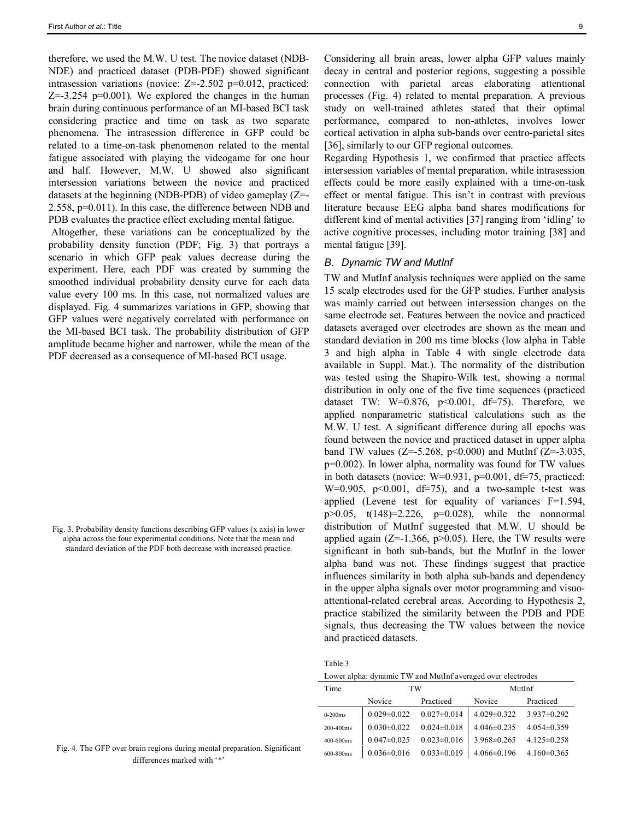therefore, we used the M.W. U test. The novice dataset (NDB-NDE) and practiced dataset (PDB-PDE) showed significant intrasession variations (novice: Z=-2.502 p=0.012, practiced:  $Z=-3.254$  p=0.001). We explored the changes in the human brain during continuous performance of an MI-based BCI task considering practice and time on task as two separate phenomena. The intrasession difference in GFP could be related to a time-on-task phenomenon related to the mental fatigue associated with playing the videogame for one hour and half. However, M.W. U showed also significant intersession variations between the novice and practiced datasets at the beginning (NDB-PDB) of video gameplay (Z=- 2.558, p=0.011). In this case, the difference between NDB and PDB evaluates the practice effect excluding mental fatigue.

Altogether, these variations can be conceptualized by the probability density function (PDF; Fig. 3) that portrays a scenario in which GFP peak values decrease during the experiment. Here, each PDF was created by summing the smoothed individual probability density curve for each data value every 100 ms. In this case, not normalized values are displayed. Fig. 4 summarizes variations in GFP, showing that GFP values were negatively correlated with performance on the MI-based BCI task. The probability distribution of GFP amplitude became higher and narrower, while the mean of the PDF decreased as a consequence of MI-based BCI usage.

Fig. 3. Probability density functions describing GFP values (x axis) in lower alpha across the four experimental conditions. Note that the mean and standard deviation of the PDF both decrease with increased practice.

Considering all brain areas, lower alpha GFP values mainly decay in central and posterior regions, suggesting a possible connection with parietal areas elaborating attentional processes (Fig. 4) related to mental preparation. A previous study on well-trained athletes stated that their optimal performance, compared to non-athletes, involves lower cortical activation in alpha sub-bands over centro-parietal sites [36], similarly to our GFP regional outcomes.

Regarding Hypothesis 1, we confirmed that practice affects intersession variables of mental preparation, while intrasession effects could be more easily explained with a time-on-task effect or mental fatigue. This isn't in contrast with previous literature because EEG alpha band shares modifications for different kind of mental activities [37] ranging from 'idling' to active cognitive processes, including motor training [38] and mental fatigue [39].

# *B. Dynamic TW and MutInf*

TW and MutInf analysis techniques were applied on the same 15 scalp electrodes used for the GFP studies. Further analysis was mainly carried out between intersession changes on the same electrode set. Features between the novice and practiced datasets averaged over electrodes are shown as the mean and standard deviation in 200 ms time blocks (low alpha in Table 3 and high alpha in Table 4 with single electrode data available in Suppl. Mat.). The normality of the distribution was tested using the Shapiro-Wilk test, showing a normal distribution in only one of the five time sequences (practiced dataset TW: W=0.876, p<0.001, df=75). Therefore, we applied nonparametric statistical calculations such as the M.W. U test. A significant difference during all epochs was found between the novice and practiced dataset in upper alpha band TW values (Z=-5.268, p<0.000) and MutInf (Z=-3.035, p=0.002). In lower alpha, normality was found for TW values in both datasets (novice: W=0.931, p=0.001, df=75, practiced: W=0.905,  $p<0.001$ , df=75), and a two-sample t-test was applied (Levene test for equality of variances F=1.594, p>0.05, t(148)=2.226, p=0.028), while the nonnormal distribution of MutInf suggested that M.W. U should be applied again ( $Z=1.366$ ,  $p>0.05$ ). Here, the TW results were significant in both sub-bands, but the MutInf in the lower alpha band was not. These findings suggest that practice influences similarity in both alpha sub-bands and dependency in the upper alpha signals over motor programming and visuoattentional-related cerebral areas. According to Hypothesis 2, practice stabilized the similarity between the PDB and PDE signals, thus decreasing the TW values between the novice and practiced datasets.

Table 3

| Lower alpha: dynamic TW and MutInf averaged over electrodes |  |
|-------------------------------------------------------------|--|
|-------------------------------------------------------------|--|

| Time      | TW                |                   | MutInf            |                   |
|-----------|-------------------|-------------------|-------------------|-------------------|
|           | Novice            | Practiced         | Novice            | Practiced         |
| $0-200ms$ | $0.029 \pm 0.022$ | $0.027 \pm 0.014$ | $4.029 \pm 0.322$ | $3.937\pm0.292$   |
| 200-400ms | $0.030 \pm 0.022$ | $0.024 \pm 0.018$ | $4.046 \pm 0.235$ | $4.054\pm0.359$   |
| 400-600ms | $0.047 \pm 0.025$ | $0.023 \pm 0.016$ | $3.968 \pm 0.265$ | $4.125 \pm 0.258$ |
| 600-800ms | $0.036 \pm 0.016$ | $0.033 \pm 0.019$ | $4.066 \pm 0.196$ | $4.160\pm0.365$   |
|           |                   |                   |                   |                   |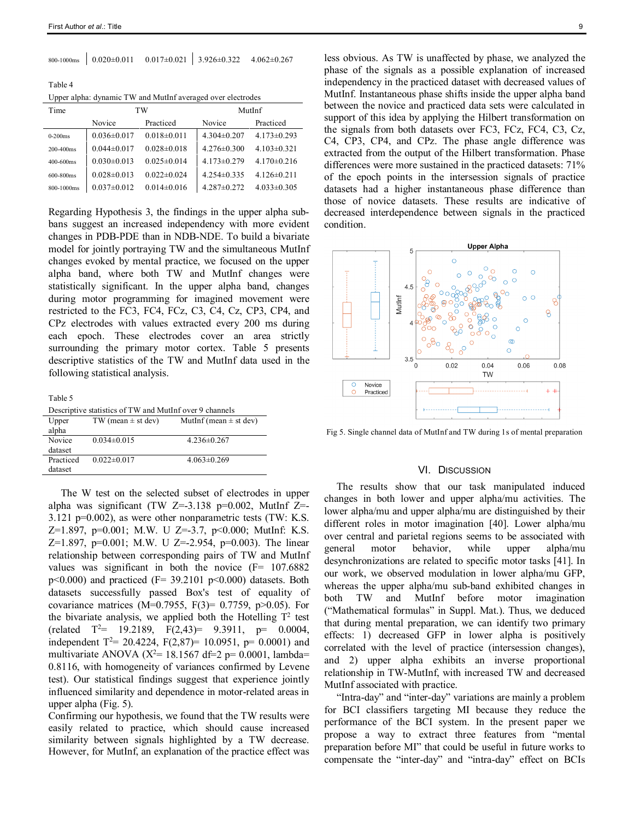|         | $800-1000$ ms $\begin{bmatrix} 0.020 \pm 0.011 & 0.017 \pm 0.021 \end{bmatrix}$ 3.926 $\pm$ 0.322 4.062 $\pm$ 0.267 |  |  |
|---------|---------------------------------------------------------------------------------------------------------------------|--|--|
| Table 4 |                                                                                                                     |  |  |

Upper alpha: dynamic TW and MutInf averaged over electrodes

| Time       | TW                |                   | MutInf            |                   |
|------------|-------------------|-------------------|-------------------|-------------------|
|            | Novice            | Practiced         | Novice            | Practiced         |
| $0-200ms$  | $0.036 \pm 0.017$ | $0.018 \pm 0.011$ | $4.304 \pm 0.207$ | $4.173 \pm 0.293$ |
| 200-400ms  | $0.044 \pm 0.017$ | $0.028 \pm 0.018$ | $4.276 \pm 0.300$ | $4.103\pm0.321$   |
| 400-600ms  | $0.030 \pm 0.013$ | $0.025 \pm 0.014$ | $4.173 \pm 0.279$ | $4.170\pm0.216$   |
| 600-800ms  | $0.028 \pm 0.013$ | $0.022 \pm 0.024$ | $4.254\pm0.335$   | $4.126\pm0.211$   |
| 800-1000ms | $0.037 \pm 0.012$ | $0.014 \pm 0.016$ | $4.287 \pm 0.272$ | $4.033 \pm 0.305$ |

Regarding Hypothesis 3, the findings in the upper alpha subbans suggest an increased independency with more evident changes in PDB-PDE than in NDB-NDE. To build a bivariate model for jointly portraying TW and the simultaneous MutInf changes evoked by mental practice, we focused on the upper alpha band, where both TW and MutInf changes were statistically significant. In the upper alpha band, changes during motor programming for imagined movement were restricted to the FC3, FC4, FCz, C3, C4, Cz, CP3, CP4, and CPz electrodes with values extracted every 200 ms during each epoch. These electrodes cover an area strictly surrounding the primary motor cortex. Table 5 presents descriptive statistics of the TW and MutInf data used in the following statistical analysis.

Table 5

|       | Descriptive statistics of TW and MutInf over 9 channels |                            |
|-------|---------------------------------------------------------|----------------------------|
| Upper | TW (mean $\pm$ st dev)                                  | MutInf (mean $\pm$ st dev) |

| ----<br>alpha |                   |                 |
|---------------|-------------------|-----------------|
| Novice        | $0.034\pm0.015$   | $4.236\pm0.267$ |
| dataset       |                   |                 |
| Practiced     | $0.022 \pm 0.017$ | $4.063\pm0.269$ |
| dataset       |                   |                 |

The W test on the selected subset of electrodes in upper alpha was significant (TW Z=-3.138 p=0.002, MutInf Z=-3.121 p=0.002), as were other nonparametric tests (TW: K.S. Z=1.897, p=0.001; M.W. U Z=-3.7, p<0.000; MutInf: K.S. Z=1.897, p=0.001; M.W. U Z=-2.954, p=0.003). The linear relationship between corresponding pairs of TW and MutInf values was significant in both the novice  $(F= 107.6882)$  $p<0.000$ ) and practiced (F= 39.2101  $p<0.000$ ) datasets. Both datasets successfully passed Box's test of equality of covariance matrices (M=0.7955, F(3)= 0.7759, p>0.05). For the bivariate analysis, we applied both the Hotelling  $T^2$  test  $(\text{related } T^2 = 19.2189, F(2,43) = 9.3911, p = 0.0004,$ independent  $T^2 = 20.4224$ ,  $F(2,87)= 10.0951$ ,  $p= 0.0001$ ) and multivariate ANOVA ( $X^2$ = 18.1567 df=2 p= 0.0001, lambda= 0.8116, with homogeneity of variances confirmed by Levene test). Our statistical findings suggest that experience jointly influenced similarity and dependence in motor-related areas in upper alpha (Fig. 5).

Confirming our hypothesis, we found that the TW results were easily related to practice, which should cause increased similarity between signals highlighted by a TW decrease. However, for MutInf, an explanation of the practice effect was less obvious. As TW is unaffected by phase, we analyzed the phase of the signals as a possible explanation of increased independency in the practiced dataset with decreased values of MutInf. Instantaneous phase shifts inside the upper alpha band between the novice and practiced data sets were calculated in support of this idea by applying the Hilbert transformation on the signals from both datasets over FC3, FCz, FC4, C3, Cz, C4, CP3, CP4, and CPz. The phase angle difference was extracted from the output of the Hilbert transformation. Phase differences were more sustained in the practiced datasets: 71% of the epoch points in the intersession signals of practice datasets had a higher instantaneous phase difference than those of novice datasets. These results are indicative of decreased interdependence between signals in the practiced condition.



Fig 5. Single channel data of MutInf and TW during 1s of mental preparation

#### VI. DISCUSSION

The results show that our task manipulated induced changes in both lower and upper alpha/mu activities. The lower alpha/mu and upper alpha/mu are distinguished by their different roles in motor imagination [40]. Lower alpha/mu over central and parietal regions seems to be associated with general motor behavior, while upper alpha/mu desynchronizations are related to specific motor tasks [41]. In our work, we observed modulation in lower alpha/mu GFP, whereas the upper alpha/mu sub-band exhibited changes in both TW and MutInf before motor imagination ("Mathematical formulas" in Suppl. Mat.). Thus, we deduced that during mental preparation, we can identify two primary effects: 1) decreased GFP in lower alpha is positively correlated with the level of practice (intersession changes), and 2) upper alpha exhibits an inverse proportional relationship in TW-MutInf, with increased TW and decreased MutInf associated with practice.

"Intra-day" and "inter-day" variations are mainly a problem for BCI classifiers targeting MI because they reduce the performance of the BCI system. In the present paper we propose a way to extract three features from "mental preparation before MI" that could be useful in future works to compensate the "inter-day" and "intra-day" effect on BCIs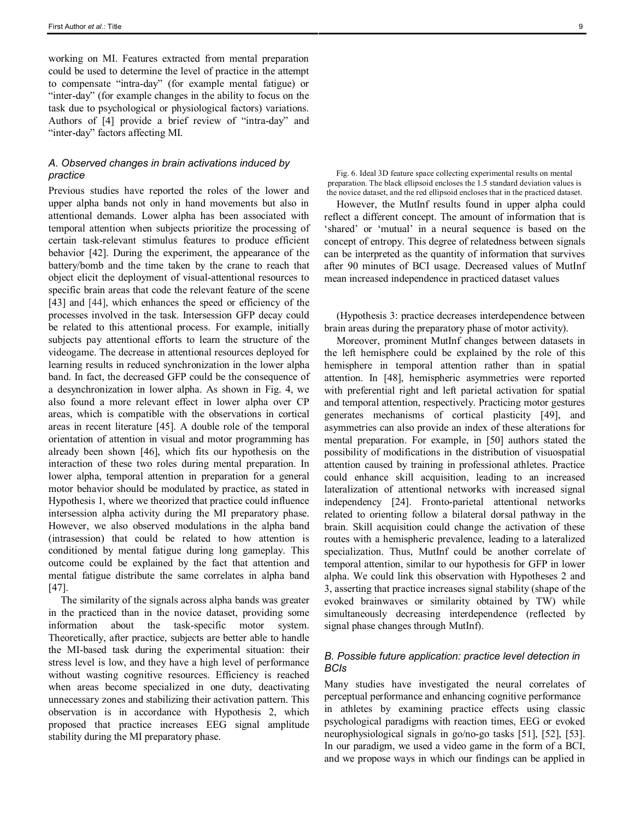working on MI. Features extracted from mental preparation could be used to determine the level of practice in the attempt to compensate "intra-day" (for example mental fatigue) or "inter-day" (for example changes in the ability to focus on the task due to psychological or physiological factors) variations. Authors of [4] provide a brief review of "intra-day" and "inter-day" factors affecting MI.

# *A. Observed changes in brain activations induced by practice*

Previous studies have reported the roles of the lower and upper alpha bands not only in hand movements but also in attentional demands. Lower alpha has been associated with temporal attention when subjects prioritize the processing of certain task-relevant stimulus features to produce efficient behavior [42]. During the experiment, the appearance of the battery/bomb and the time taken by the crane to reach that object elicit the deployment of visual-attentional resources to specific brain areas that code the relevant feature of the scene [43] and [44], which enhances the speed or efficiency of the processes involved in the task. Intersession GFP decay could be related to this attentional process. For example, initially subjects pay attentional efforts to learn the structure of the videogame. The decrease in attentional resources deployed for learning results in reduced synchronization in the lower alpha band. In fact, the decreased GFP could be the consequence of a desynchronization in lower alpha. As shown in Fig. 4, we also found a more relevant effect in lower alpha over CP areas, which is compatible with the observations in cortical areas in recent literature [45]. A double role of the temporal orientation of attention in visual and motor programming has already been shown [46], which fits our hypothesis on the interaction of these two roles during mental preparation. In lower alpha, temporal attention in preparation for a general motor behavior should be modulated by practice, as stated in Hypothesis 1, where we theorized that practice could influence intersession alpha activity during the MI preparatory phase. However, we also observed modulations in the alpha band (intrasession) that could be related to how attention is conditioned by mental fatigue during long gameplay. This outcome could be explained by the fact that attention and mental fatigue distribute the same correlates in alpha band [47].

The similarity of the signals across alpha bands was greater in the practiced than in the novice dataset, providing some information about the task-specific motor system. Theoretically, after practice, subjects are better able to handle the MI-based task during the experimental situation: their stress level is low, and they have a high level of performance without wasting cognitive resources. Efficiency is reached when areas become specialized in one duty, deactivating unnecessary zones and stabilizing their activation pattern. This observation is in accordance with Hypothesis 2, which proposed that practice increases EEG signal amplitude stability during the MI preparatory phase.

Fig. 6. Ideal 3D feature space collecting experimental results on mental preparation. The black ellipsoid encloses the 1.5 standard deviation values is the novice dataset, and the red ellipsoid encloses that in the practiced dataset.

However, the MutInf results found in upper alpha could reflect a different concept. The amount of information that is 'shared' or 'mutual' in a neural sequence is based on the concept of entropy. This degree of relatedness between signals can be interpreted as the quantity of information that survives after 90 minutes of BCI usage. Decreased values of MutInf mean increased independence in practiced dataset values

(Hypothesis 3: practice decreases interdependence between brain areas during the preparatory phase of motor activity).

Moreover, prominent MutInf changes between datasets in the left hemisphere could be explained by the role of this hemisphere in temporal attention rather than in spatial attention. In [48], hemispheric asymmetries were reported with preferential right and left parietal activation for spatial and temporal attention, respectively. Practicing motor gestures generates mechanisms of cortical plasticity [49], and asymmetries can also provide an index of these alterations for mental preparation. For example, in [50] authors stated the possibility of modifications in the distribution of visuospatial attention caused by training in professional athletes. Practice could enhance skill acquisition, leading to an increased lateralization of attentional networks with increased signal independency [24]. Fronto-parietal attentional networks related to orienting follow a bilateral dorsal pathway in the brain. Skill acquisition could change the activation of these routes with a hemispheric prevalence, leading to a lateralized specialization. Thus, MutInf could be another correlate of temporal attention, similar to our hypothesis for GFP in lower alpha. We could link this observation with Hypotheses 2 and 3, asserting that practice increases signal stability (shape of the evoked brainwaves or similarity obtained by TW) while simultaneously decreasing interdependence (reflected by signal phase changes through MutInf).

# *B. Possible future application: practice level detection in BCIs*

Many studies have investigated the neural correlates of perceptual performance and enhancing cognitive performance in athletes by examining practice effects using classic psychological paradigms with reaction times, EEG or evoked neurophysiological signals in go/no-go tasks [51], [52], [53]. In our paradigm, we used a video game in the form of a BCI, and we propose ways in which our findings can be applied in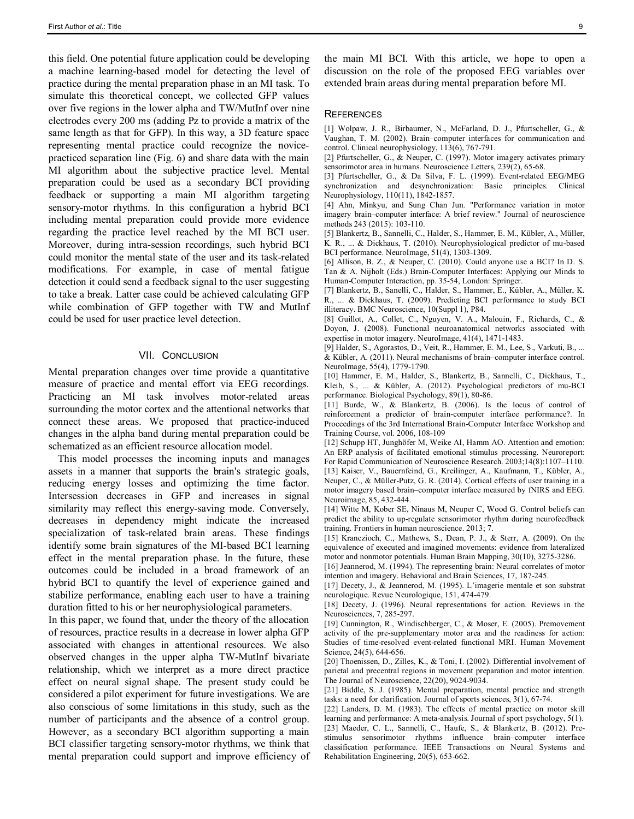this field. One potential future application could be developing a machine learning-based model for detecting the level of practice during the mental preparation phase in an MI task. To simulate this theoretical concept, we collected GFP values over five regions in the lower alpha and TW/MutInf over nine electrodes every 200 ms (adding Pz to provide a matrix of the same length as that for GFP). In this way, a 3D feature space representing mental practice could recognize the novicepracticed separation line (Fig. 6) and share data with the main MI algorithm about the subjective practice level. Mental preparation could be used as a secondary BCI providing feedback or supporting a main MI algorithm targeting sensory-motor rhythms. In this configuration a hybrid BCI including mental preparation could provide more evidence regarding the practice level reached by the MI BCI user. Moreover, during intra-session recordings, such hybrid BCI could monitor the mental state of the user and its task-related modifications. For example, in case of mental fatigue detection it could send a feedback signal to the user suggesting to take a break. Latter case could be achieved calculating GFP while combination of GFP together with TW and MutInf could be used for user practice level detection.

#### VII. CONCLUSION

Mental preparation changes over time provide a quantitative measure of practice and mental effort via EEG recordings. Practicing an MI task involves motor-related areas surrounding the motor cortex and the attentional networks that connect these areas. We proposed that practice-induced changes in the alpha band during mental preparation could be schematized as an efficient resource allocation model.

This model processes the incoming inputs and manages assets in a manner that supports the brain's strategic goals, reducing energy losses and optimizing the time factor. Intersession decreases in GFP and increases in signal similarity may reflect this energy-saving mode. Conversely, decreases in dependency might indicate the increased specialization of task-related brain areas. These findings identify some brain signatures of the MI-based BCI learning effect in the mental preparation phase. In the future, these outcomes could be included in a broad framework of an hybrid BCI to quantify the level of experience gained and stabilize performance, enabling each user to have a training duration fitted to his or her neurophysiological parameters.

In this paper, we found that, under the theory of the allocation of resources, practice results in a decrease in lower alpha GFP associated with changes in attentional resources. We also observed changes in the upper alpha TW-MutInf bivariate relationship, which we interpret as a more direct practice effect on neural signal shape. The present study could be considered a pilot experiment for future investigations. We are also conscious of some limitations in this study, such as the number of participants and the absence of a control group. However, as a secondary BCI algorithm supporting a main BCI classifier targeting sensory-motor rhythms, we think that mental preparation could support and improve efficiency of the main MI BCI. With this article, we hope to open a discussion on the role of the proposed EEG variables over extended brain areas during mental preparation before MI.

#### **REFERENCES**

[1] Wolpaw, J. R., Birbaumer, N., McFarland, D. J., Pfurtscheller, G., & Vaughan, T. M. (2002). Brain–computer interfaces for communication and control. Clinical neurophysiology, 113(6), 767-791.

[2] Pfurtscheller, G., & Neuper, C. (1997). Motor imagery activates primary sensorimotor area in humans. Neuroscience Letters, 239(2), 65-68.

[3] Pfurtscheller, G., & Da Silva, F. L. (1999). Event-related EEG/MEG synchronization and desynchronization: Basic principles. Clinical Neurophysiology, 110(11), 1842-1857.

[4] Ahn, Minkyu, and Sung Chan Jun. "Performance variation in motor imagery brain–computer interface: A brief review." Journal of neuroscience methods 243 (2015): 103-110.

[5] Blankertz, B., Sannelli, C., Halder, S., Hammer, E. M., Kübler, A., Müller, K. R., ... & Dickhaus, T. (2010). Neurophysiological predictor of mu-based BCI performance. NeuroImage, 51(4), 1303-1309.

[6] Allison, B. Z., & Neuper, C. (2010). Could anyone use a BCI? In D. S. Tan & A. Nijholt (Eds.) Brain-Computer Interfaces: Applying our Minds to Human-Computer Interaction, pp. 35-54, London: Springer.

[7] Blankertz, B., Sanelli, C., Halder, S., Hammer, E., Kübler, A., Müller, K. R., ... & Dickhaus, T. (2009). Predicting BCI performance to study BCI illiteracy. BMC Neuroscience, 10(Suppl 1), P84.

[8] Guillot, A., Collet, C., Nguyen, V. A., Malouin, F., Richards, C., & Doyon, J. (2008). Functional neuroanatomical networks associated with expertise in motor imagery. NeuroImage, 41(4), 1471-1483.

[9] Halder, S., Agorastos, D., Veit, R., Hammer, E. M., Lee, S., Varkuti, B., ... & Kübler, A. (2011). Neural mechanisms of brain–computer interface control. NeuroImage, 55(4), 1779-1790.

[10] Hammer, E. M., Halder, S., Blankertz, B., Sannelli, C., Dickhaus, T., Kleih, S., ... & Kübler, A. (2012). Psychological predictors of mu-BCI performance. Biological Psychology, 89(1), 80-86.

[11] Burde, W., & Blankertz, B. (2006). Is the locus of control of reinforcement a predictor of brain-computer interface performance?. In Proceedings of the 3rd International Brain-Computer Interface Workshop and Training Course, vol. 2006, 108-109

[12] Schupp HT, Junghöfer M, Weike AI, Hamm AO. Attention and emotion: An ERP analysis of facilitated emotional stimulus processing. Neuroreport: For Rapid Communication of Neuroscience Research. 2003;14(8):1107–1110. [13] Kaiser, V., Bauernfeind, G., Kreilinger, A., Kaufmann, T., Kübler, A.,

Neuper, C., & Müller-Putz, G. R. (2014). Cortical effects of user training in a motor imagery based brain–computer interface measured by fNIRS and EEG. Neuroimage, 85, 432-444.

[14] Witte M, Kober SE, Ninaus M, Neuper C, Wood G. Control beliefs can predict the ability to up-regulate sensorimotor rhythm during neurofeedback training. Frontiers in human neuroscience. 2013; 7.

[15] Kranczioch, C., Mathews, S., Dean, P. J., & Sterr, A. (2009). On the equivalence of executed and imagined movements: evidence from lateralized motor and nonmotor potentials. Human Brain Mapping, 30(10), 3275-3286.

[16] Jeannerod, M. (1994). The representing brain: Neural correlates of motor intention and imagery. Behavioral and Brain Sciences, 17, 187-245.

[17] Decety, J., & Jeannerod, M. (1995). L'imagerie mentale et son substrat neurologique. Revue Neurologique, 151, 474-479.

[18] Decety, J. (1996). Neural representations for action. Reviews in the Neurosciences, 7, 285-297.

[19] Cunnington, R., Windischberger, C., & Moser, E. (2005). Premovement activity of the pre-supplementary motor area and the readiness for action: Studies of time-resolved event-related functional MRI. Human Movement Science, 24(5), 644-656.

[20] Thoenissen, D., Zilles, K., & Toni, I. (2002). Differential involvement of parietal and precentral regions in movement preparation and motor intention. The Journal of Neuroscience, 22(20), 9024-9034.

[21] Biddle, S. J. (1985). Mental preparation, mental practice and strength tasks: a need for clarification. Journal of sports sciences, 3(1), 67-74.

[22] Landers, D. M. (1983). The effects of mental practice on motor skill learning and performance: A meta-analysis. Journal of sport psychology, 5(1). [23] Maeder, C. L., Sannelli, C., Haufe, S., & Blankertz, B. (2012). Prestimulus sensorimotor rhythms influence brain–computer interface classification performance. IEEE Transactions on Neural Systems and Rehabilitation Engineering, 20(5), 653-662.